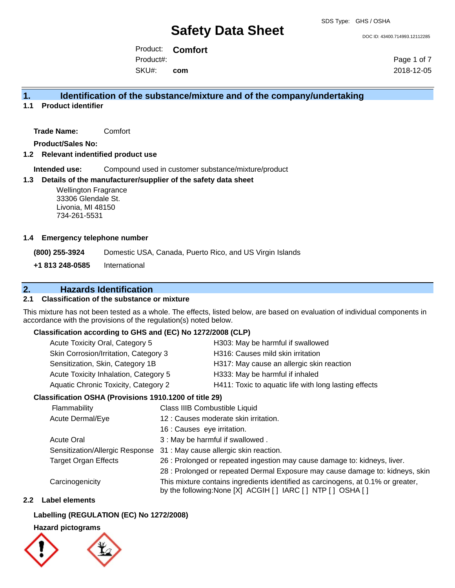DOC ID: 43400.714993.12112285

Product: **Comfort** SKU#: Product#: **com**

Page 1 of 7 2018-12-05

### **1. Identification of the substance/mixture and of the company/undertaking**

**1.1 Product identifier**

**Trade Name:** Comfort

**Product/Sales No:**

**1.2 Relevant indentified product use**

**Intended use:** Compound used in customer substance/mixture/product

#### **1.3 Details of the manufacturer/supplier of the safety data sheet**

Wellington Fragrance 33306 Glendale St. Livonia, MI 48150 734-261-5531

#### **1.4 Emergency telephone number**

**(800) 255-3924** Domestic USA, Canada, Puerto Rico, and US Virgin Islands

**+1 813 248-0585** International

## **2. Hazards Identification**

#### **2.1 Classification of the substance or mixture**

This mixture has not been tested as a whole. The effects, listed below, are based on evaluation of individual components in accordance with the provisions of the regulation(s) noted below.

#### **Classification according to GHS and (EC) No 1272/2008 (CLP)**

| Acute Toxicity Oral, Category 5       | H303: May be harmful if swallowed                     |
|---------------------------------------|-------------------------------------------------------|
| Skin Corrosion/Irritation, Category 3 | H316: Causes mild skin irritation                     |
| Sensitization, Skin, Category 1B      | H317: May cause an allergic skin reaction             |
| Acute Toxicity Inhalation, Category 5 | H333: May be harmful if inhaled                       |
| Aquatic Chronic Toxicity, Category 2  | H411: Toxic to aquatic life with long lasting effects |
|                                       |                                                       |

#### **Classification OSHA (Provisions 1910.1200 of title 29)**

| <b>Flammability</b>             | Class IIIB Combustible Liquid                                                                                                                      |
|---------------------------------|----------------------------------------------------------------------------------------------------------------------------------------------------|
| Acute Dermal/Eye                | 12 : Causes moderate skin irritation.                                                                                                              |
|                                 | 16 : Causes eye irritation.                                                                                                                        |
| <b>Acute Oral</b>               | 3 : May be harmful if swallowed.                                                                                                                   |
| Sensitization/Allergic Response | 31 : May cause allergic skin reaction.                                                                                                             |
| <b>Target Organ Effects</b>     | 26 : Prolonged or repeated ingestion may cause damage to: kidneys, liver.                                                                          |
|                                 | 28 : Prolonged or repeated Dermal Exposure may cause damage to: kidneys, skin                                                                      |
| Carcinogenicity                 | This mixture contains ingredients identified as carcinogens, at 0.1% or greater,<br>by the following: None [X] ACGIH [ ] IARC [ ] NTP [ ] OSHA [ ] |

#### **2.2 Label elements**

#### **Labelling (REGULATION (EC) No 1272/2008)**

**Hazard pictograms**

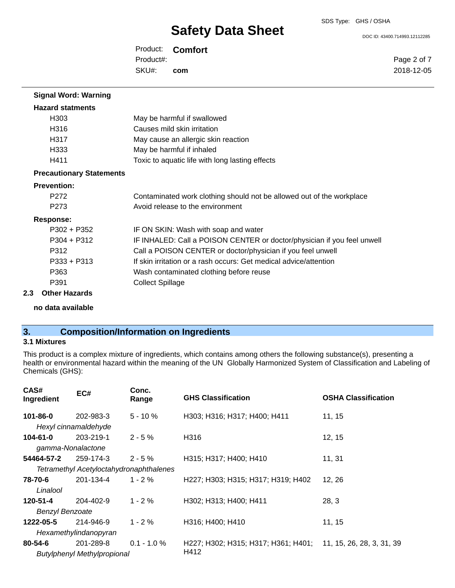DOC ID: 43400.714993.12112285

Product: **Comfort** SKU#: Product#: **com**

Page 2 of 7 2018-12-05

| <b>Signal Word: Warning</b>     |                                                                         |
|---------------------------------|-------------------------------------------------------------------------|
| <b>Hazard statments</b>         |                                                                         |
| H <sub>303</sub>                | May be harmful if swallowed                                             |
| H316                            | Causes mild skin irritation                                             |
| H317                            | May cause an allergic skin reaction                                     |
| H333                            | May be harmful if inhaled                                               |
| H411                            | Toxic to aquatic life with long lasting effects                         |
| <b>Precautionary Statements</b> |                                                                         |
| <b>Prevention:</b>              |                                                                         |
| P <sub>272</sub>                | Contaminated work clothing should not be allowed out of the workplace   |
| P <sub>273</sub>                | Avoid release to the environment                                        |
| Response:                       |                                                                         |
| $P302 + P352$                   | IF ON SKIN: Wash with soap and water                                    |
| $P304 + P312$                   | IF INHALED: Call a POISON CENTER or doctor/physician if you feel unwell |
| P312                            | Call a POISON CENTER or doctor/physician if you feel unwell             |
| $P333 + P313$                   | If skin irritation or a rash occurs: Get medical advice/attention       |
| P363                            | Wash contaminated clothing before reuse                                 |
| P391                            | <b>Collect Spillage</b>                                                 |
| 2.3<br><b>Other Hazards</b>     |                                                                         |

**no data available**

## **3. Composition/Information on Ingredients**

### **3.1 Mixtures**

This product is a complex mixture of ingredients, which contains among others the following substance(s), presenting a health or environmental hazard within the meaning of the UN Globally Harmonized System of Classification and Labeling of Chemicals (GHS):

| CAS#<br>Ingredient                      | EC#                                | Conc.<br>Range | <b>GHS Classification</b>           | <b>OSHA Classification</b> |
|-----------------------------------------|------------------------------------|----------------|-------------------------------------|----------------------------|
| $101 - 86 - 0$                          | 202-983-3                          | $5 - 10 \%$    | H303; H316; H317; H400; H411        | 11.15                      |
|                                         | Hexyl cinnamaldehyde               |                |                                     |                            |
| $104 - 61 - 0$                          | 203-219-1                          | $2 - 5%$       | H316                                | 12, 15                     |
| gamma-Nonalactone                       |                                    |                |                                     |                            |
| 54464-57-2                              | 259-174-3                          | $2 - 5%$       | H315; H317; H400; H410              | 11, 31                     |
| Tetramethyl Acetyloctahydronaphthalenes |                                    |                |                                     |                            |
| 78-70-6                                 | 201-134-4                          | $1 - 2 \%$     | H227; H303; H315; H317; H319; H402  | 12, 26                     |
| Linalool                                |                                    |                |                                     |                            |
| 120-51-4                                | 204-402-9                          | $1 - 2%$       | H302; H313; H400; H411              | 28, 3                      |
| <b>Benzyl Benzoate</b>                  |                                    |                |                                     |                            |
| 1222-05-5                               | 214-946-9                          | $1 - 2 \%$     | H316; H400; H410                    | 11, 15                     |
| Hexamethylindanopyran                   |                                    |                |                                     |                            |
| $80 - 54 - 6$                           | 201-289-8                          | $0.1 - 1.0 %$  | H227; H302; H315; H317; H361; H401; | 11, 15, 26, 28, 3, 31, 39  |
|                                         | <b>Butylphenyl Methylpropional</b> |                | H412                                |                            |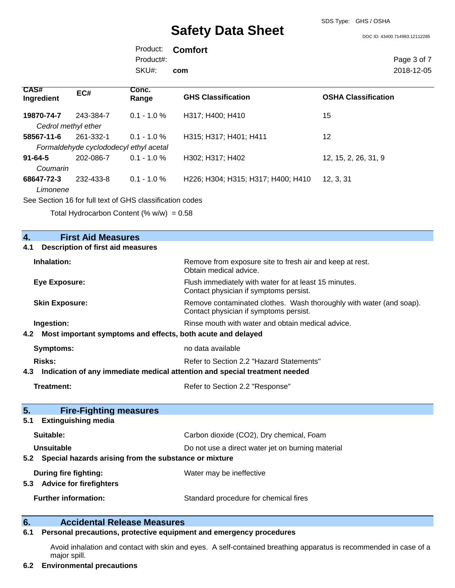SDS Type: GHS / OSHA

DOC ID: 43400.714993.12112285

Product: **Comfort** SKU#: Product#: **com**

Page 3 of 7 2018-12-05

| <b>CAS#</b><br>Ingredient              | EC#       | Conc.<br>Range | <b>GHS Classification</b>          | <b>OSHA Classification</b> |
|----------------------------------------|-----------|----------------|------------------------------------|----------------------------|
| 19870-74-7                             | 243-384-7 | $0.1 - 1.0 \%$ | H317; H400; H410                   | 15                         |
| Cedrol methyl ether                    |           |                |                                    |                            |
| 58567-11-6                             | 261-332-1 | $0.1 - 1.0 \%$ | H315; H317; H401; H411             | 12                         |
| Formaldehyde cyclododecyl ethyl acetal |           |                |                                    |                            |
| $91 - 64 - 5$                          | 202-086-7 | $0.1 - 1.0 \%$ | H302; H317; H402                   | 12, 15, 2, 26, 31, 9       |
| Coumarin                               |           |                |                                    |                            |
| 68647-72-3                             | 232-433-8 | $0.1 - 1.0 \%$ | H226; H304; H315; H317; H400; H410 | 12, 3, 31                  |
| Limonene                               |           |                |                                    |                            |

See Section 16 for full text of GHS classification codes

Total Hydrocarbon Content (%  $w/w$ ) = 0.58

| 4.  | <b>First Aid Measures</b>                                                  |                                                                                                               |  |
|-----|----------------------------------------------------------------------------|---------------------------------------------------------------------------------------------------------------|--|
| 4.1 | <b>Description of first aid measures</b>                                   |                                                                                                               |  |
|     | Inhalation:                                                                | Remove from exposure site to fresh air and keep at rest.<br>Obtain medical advice.                            |  |
|     | <b>Eye Exposure:</b>                                                       | Flush immediately with water for at least 15 minutes.<br>Contact physician if symptoms persist.               |  |
|     | <b>Skin Exposure:</b>                                                      | Remove contaminated clothes. Wash thoroughly with water (and soap).<br>Contact physician if symptoms persist. |  |
|     | Ingestion:                                                                 | Rinse mouth with water and obtain medical advice.                                                             |  |
| 4.2 | Most important symptoms and effects, both acute and delayed                |                                                                                                               |  |
|     | <b>Symptoms:</b>                                                           | no data available                                                                                             |  |
|     | Risks:                                                                     | Refer to Section 2.2 "Hazard Statements"                                                                      |  |
| 4.3 | Indication of any immediate medical attention and special treatment needed |                                                                                                               |  |
|     | Treatment:                                                                 | Refer to Section 2.2 "Response"                                                                               |  |
| 5.  | <b>Fire-Fighting measures</b>                                              |                                                                                                               |  |
| 5.1 | <b>Extinguishing media</b>                                                 |                                                                                                               |  |
|     | Suitable:                                                                  | Carbon dioxide (CO2), Dry chemical, Foam                                                                      |  |
|     | <b>Unsuitable</b>                                                          | Do not use a direct water jet on burning material                                                             |  |
|     | 5.2 Special hazards arising from the substance or mixture                  |                                                                                                               |  |
|     | <b>During fire fighting:</b>                                               | Water may be ineffective                                                                                      |  |
|     | 5.3 Advice for firefighters                                                |                                                                                                               |  |
|     | <b>Further information:</b>                                                | Standard procedure for chemical fires                                                                         |  |
| 6.  | <b>Accidental Release Measures</b>                                         |                                                                                                               |  |

### **6.1 Personal precautions, protective equipment and emergency procedures**

Avoid inhalation and contact with skin and eyes. A self-contained breathing apparatus is recommended in case of a major spill.

#### **6.2 Environmental precautions**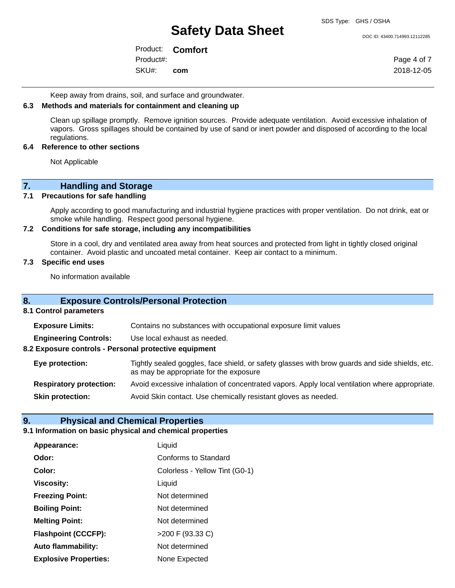DOC ID: 43400.714993.12112285

Product: **Comfort** SKU#: Product#: **com**

Page 4 of 7 2018-12-05

Keep away from drains, soil, and surface and groundwater.

#### **6.3 Methods and materials for containment and cleaning up**

Clean up spillage promptly. Remove ignition sources. Provide adequate ventilation. Avoid excessive inhalation of vapors. Gross spillages should be contained by use of sand or inert powder and disposed of according to the local regulations.

#### **6.4 Reference to other sections**

Not Applicable

## **7. Handling and Storage**

#### **7.1 Precautions for safe handling**

Apply according to good manufacturing and industrial hygiene practices with proper ventilation. Do not drink, eat or smoke while handling. Respect good personal hygiene.

#### **7.2 Conditions for safe storage, including any incompatibilities**

Store in a cool, dry and ventilated area away from heat sources and protected from light in tightly closed original container. Avoid plastic and uncoated metal container. Keep air contact to a minimum.

#### **7.3 Specific end uses**

No information available

#### **8. Exposure Controls/Personal Protection**

#### **8.1 Control parameters**

| <b>Exposure Limits:</b>                               | Contains no substances with occupational exposure limit values                                                                           |
|-------------------------------------------------------|------------------------------------------------------------------------------------------------------------------------------------------|
| <b>Engineering Controls:</b>                          | Use local exhaust as needed.                                                                                                             |
| 8.2 Exposure controls - Personal protective equipment |                                                                                                                                          |
| Eye protection:                                       | Tightly sealed goggles, face shield, or safety glasses with brow guards and side shields, etc.<br>as may be appropriate for the exposure |
| <b>Respiratory protection:</b>                        | Avoid excessive inhalation of concentrated vapors. Apply local ventilation where appropriate.                                            |
| <b>Skin protection:</b>                               | Avoid Skin contact. Use chemically resistant gloves as needed.                                                                           |
|                                                       |                                                                                                                                          |

#### **9. Physical and Chemical Properties**

### **9.1 Information on basic physical and chemical properties**

| Appearance:                  | Liquid                         |
|------------------------------|--------------------------------|
| Odor:                        | Conforms to Standard           |
| Color:                       | Colorless - Yellow Tint (G0-1) |
| <b>Viscosity:</b>            | Liquid                         |
| <b>Freezing Point:</b>       | Not determined                 |
| <b>Boiling Point:</b>        | Not determined                 |
| <b>Melting Point:</b>        | Not determined                 |
| <b>Flashpoint (CCCFP):</b>   | >200 F (93.33 C)               |
| <b>Auto flammability:</b>    | Not determined                 |
| <b>Explosive Properties:</b> | None Expected                  |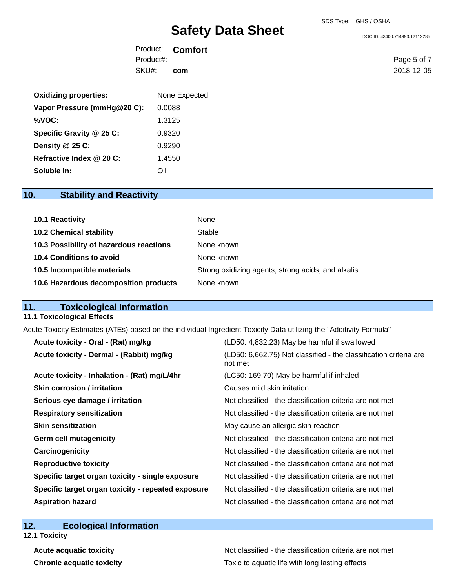| Product:  | <b>Comfort</b> |
|-----------|----------------|
| Product#: |                |
| SKU#:     | com            |

| None Expected |
|---------------|
| 0.0088        |
| 1.3125        |
| 0.9320        |
| 0.9290        |
| 1.4550        |
| Oil           |
|               |

## **10. Stability and Reactivity**

| 10.1 Reactivity                         | None                                               |
|-----------------------------------------|----------------------------------------------------|
| <b>10.2 Chemical stability</b>          | Stable                                             |
| 10.3 Possibility of hazardous reactions | None known                                         |
| 10.4 Conditions to avoid                | None known                                         |
| 10.5 Incompatible materials             | Strong oxidizing agents, strong acids, and alkalis |
| 10.6 Hazardous decomposition products   | None known                                         |

## **11. Toxicological Information**

#### **11.1 Toxicological Effects**

Acute Toxicity Estimates (ATEs) based on the individual Ingredient Toxicity Data utilizing the "Additivity Formula"

| Acute toxicity - Oral - (Rat) mg/kg                | (LD50: 4,832.23) May be harmful if swallowed                                 |
|----------------------------------------------------|------------------------------------------------------------------------------|
| Acute toxicity - Dermal - (Rabbit) mg/kg           | (LD50: 6,662.75) Not classified - the classification criteria are<br>not met |
| Acute toxicity - Inhalation - (Rat) mg/L/4hr       | (LC50: 169.70) May be harmful if inhaled                                     |
| <b>Skin corrosion / irritation</b>                 | Causes mild skin irritation                                                  |
| Serious eye damage / irritation                    | Not classified - the classification criteria are not met                     |
| <b>Respiratory sensitization</b>                   | Not classified - the classification criteria are not met                     |
| <b>Skin sensitization</b>                          | May cause an allergic skin reaction                                          |
| <b>Germ cell mutagenicity</b>                      | Not classified - the classification criteria are not met                     |
| Carcinogenicity                                    | Not classified - the classification criteria are not met                     |
| <b>Reproductive toxicity</b>                       | Not classified - the classification criteria are not met                     |
| Specific target organ toxicity - single exposure   | Not classified - the classification criteria are not met                     |
| Specific target organ toxicity - repeated exposure | Not classified - the classification criteria are not met                     |
| <b>Aspiration hazard</b>                           | Not classified - the classification criteria are not met                     |

## **12. Ecological Information**

**12.1 Toxicity**

Acute acquatic toxicity **Acute acquatic toxicity** Not classified - the classification criteria are not met **Chronic acquatic toxicity Toxic to aquatic life with long lasting effects** 

Page 5 of 7 2018-12-05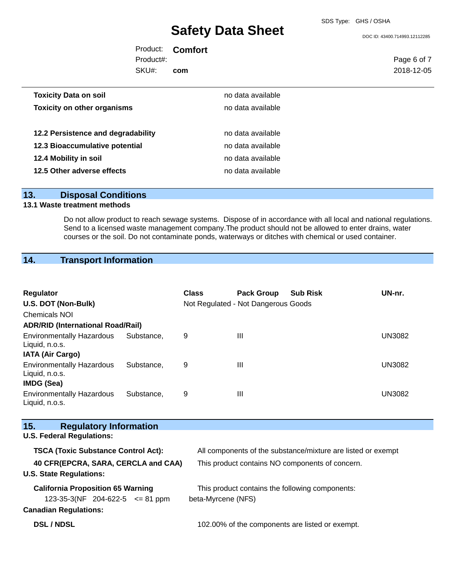SDS Type: GHS / OSHA

DOC ID: 43400.714993.12112285

Product: **Comfort** Product#:

SKU#: **com** Page 6 of 7 2018-12-05

| <b>Toxicity Data on soil</b>       | no data available |
|------------------------------------|-------------------|
| <b>Toxicity on other organisms</b> | no data available |
|                                    |                   |
| 12.2 Persistence and degradability | no data available |
| 12.3 Bioaccumulative potential     | no data available |
| 12.4 Mobility in soil              | no data available |
| 12.5 Other adverse effects         | no data available |

## **13. Disposal Conditions**

#### **13.1 Waste treatment methods**

Do not allow product to reach sewage systems. Dispose of in accordance with all local and national regulations. Send to a licensed waste management company.The product should not be allowed to enter drains, water courses or the soil. Do not contaminate ponds, waterways or ditches with chemical or used container.

## **14. Transport Information**

| Regulator                                                                                                                |            | <b>Class</b>                                                          | <b>Pack Group</b> | <b>Sub Risk</b>                                              | UN-nr.        |  |  |
|--------------------------------------------------------------------------------------------------------------------------|------------|-----------------------------------------------------------------------|-------------------|--------------------------------------------------------------|---------------|--|--|
| U.S. DOT (Non-Bulk)                                                                                                      |            | Not Regulated - Not Dangerous Goods                                   |                   |                                                              |               |  |  |
| Chemicals NOI                                                                                                            |            |                                                                       |                   |                                                              |               |  |  |
| <b>ADR/RID (International Road/Rail)</b>                                                                                 |            |                                                                       |                   |                                                              |               |  |  |
| <b>Environmentally Hazardous</b><br>Liquid, n.o.s.                                                                       | Substance, | 9                                                                     | $\mathbf{III}$    |                                                              | <b>UN3082</b> |  |  |
| <b>IATA (Air Cargo)</b>                                                                                                  |            |                                                                       |                   |                                                              |               |  |  |
| <b>Environmentally Hazardous</b><br>Liquid, n.o.s.<br><b>IMDG (Sea)</b>                                                  | Substance, | 9                                                                     | $\mathbf{III}$    |                                                              | <b>UN3082</b> |  |  |
| <b>Environmentally Hazardous</b><br>Liquid, n.o.s.                                                                       | Substance, | 9                                                                     | III               |                                                              | <b>UN3082</b> |  |  |
| 15.<br><b>Regulatory Information</b>                                                                                     |            |                                                                       |                   |                                                              |               |  |  |
| <b>U.S. Federal Regulations:</b>                                                                                         |            |                                                                       |                   |                                                              |               |  |  |
| <b>TSCA (Toxic Substance Control Act):</b>                                                                               |            |                                                                       |                   | All components of the substance/mixture are listed or exempt |               |  |  |
| 40 CFR(EPCRA, SARA, CERCLA and CAA)<br>This product contains NO components of concern.<br><b>U.S. State Regulations:</b> |            |                                                                       |                   |                                                              |               |  |  |
| <b>California Proposition 65 Warning</b><br>123-35-3(NF 204-622-5 $\leq$ 81 ppm<br><b>Canadian Regulations:</b>          |            | This product contains the following components:<br>beta-Myrcene (NFS) |                   |                                                              |               |  |  |
| <b>DSL/NDSL</b>                                                                                                          |            |                                                                       |                   | 102.00% of the components are listed or exempt.              |               |  |  |